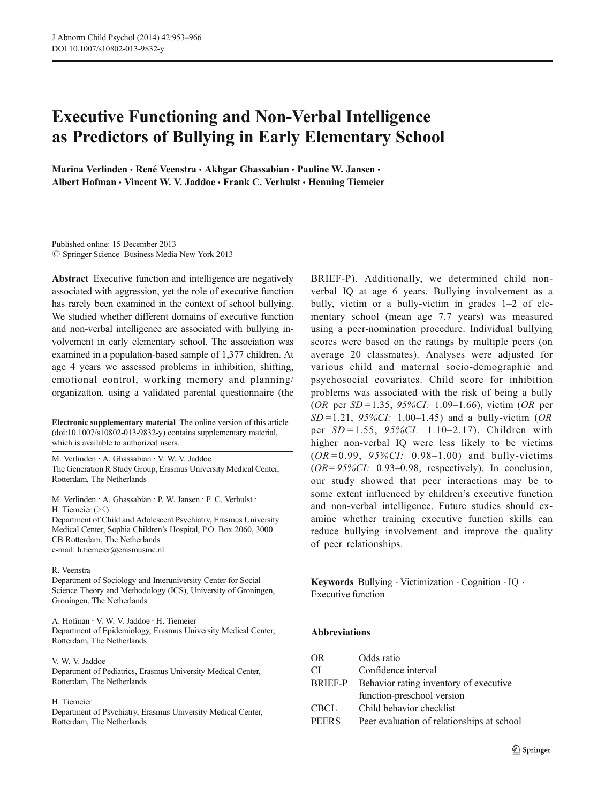# Executive Functioning and Non-Verbal Intelligence as Predictors of Bullying in Early Elementary School

Marina Verlinden · René Veenstra · Akhgar Ghassabian · Pauline W. Jansen · Albert Hofman · Vincent W. V. Jaddoe · Frank C. Verhulst · Henning Tiemeier

Published online: 15 December 2013  $\circled{c}$  Springer Science+Business Media New York 2013

Abstract Executive function and intelligence are negatively associated with aggression, yet the role of executive function has rarely been examined in the context of school bullying. We studied whether different domains of executive function and non-verbal intelligence are associated with bullying involvement in early elementary school. The association was examined in a population-based sample of 1,377 children. At age 4 years we assessed problems in inhibition, shifting, emotional control, working memory and planning/ organization, using a validated parental questionnaire (the

Electronic supplementary material The online version of this article (doi[:10.1007/s10802-013-9832-y](http://dx.doi.org/10.1007/s10802-013-9832-y)) contains supplementary material, which is available to authorized users.

M. Verlinden : A. Ghassabian : V. W. V. Jaddoe The Generation R Study Group, Erasmus University Medical Center, Rotterdam, The Netherlands

M. Verlinden : A. Ghassabian : P. W. Jansen : F. C. Verhulst : H. Tiemeier  $(\boxtimes)$ 

Department of Child and Adolescent Psychiatry, Erasmus University Medical Center, Sophia Children's Hospital, P.O. Box 2060, 3000 CB Rotterdam, The Netherlands e-mail: h.tiemeier@erasmusmc.nl

#### R. Veenstra

Department of Sociology and Interuniversity Center for Social Science Theory and Methodology (ICS), University of Groningen, Groningen, The Netherlands

A. Hofman : V. W. V. Jaddoe : H. Tiemeier

Department of Epidemiology, Erasmus University Medical Center, Rotterdam, The Netherlands

V. W. V. Jaddoe

Department of Pediatrics, Erasmus University Medical Center, Rotterdam, The Netherlands

#### H. Tiemeier

Department of Psychiatry, Erasmus University Medical Center, Rotterdam, The Netherlands

BRIEF-P). Additionally, we determined child nonverbal IQ at age 6 years. Bullying involvement as a bully, victim or a bully-victim in grades 1–2 of elementary school (mean age 7.7 years) was measured using a peer-nomination procedure. Individual bullying scores were based on the ratings by multiple peers (on average 20 classmates). Analyses were adjusted for various child and maternal socio-demographic and psychosocial covariates. Child score for inhibition problems was associated with the risk of being a bully (OR per  $SD = 1.35$ , 95%CI: 1.09–1.66), victim (OR per  $SD = 1.21$ , 95%CI: 1.00–1.45) and a bully-victim (OR per  $SD = 1.55$ ,  $95\% CI: 1.10-2.17$ ). Children with higher non-verbal IQ were less likely to be victims  $(OR = 0.99, 95\% CI: 0.98-1.00)$  and bully-victims  $(OR=95\%CI: 0.93-0.98, respectively)$ . In conclusion, our study showed that peer interactions may be to some extent influenced by children's executive function and non-verbal intelligence. Future studies should examine whether training executive function skills can reduce bullying involvement and improve the quality of peer relationships.

Keywords Bullying . Victimization . Cognition . IQ . Executive function

## Abbreviations

| OR      | Odds ratio                                 |
|---------|--------------------------------------------|
| СI      | Confidence interval                        |
| BRIEF-P | Behavior rating inventory of executive     |
|         | function-preschool version                 |
| CBCL    | Child behavior checklist                   |
| PEERS   | Peer evaluation of relationships at school |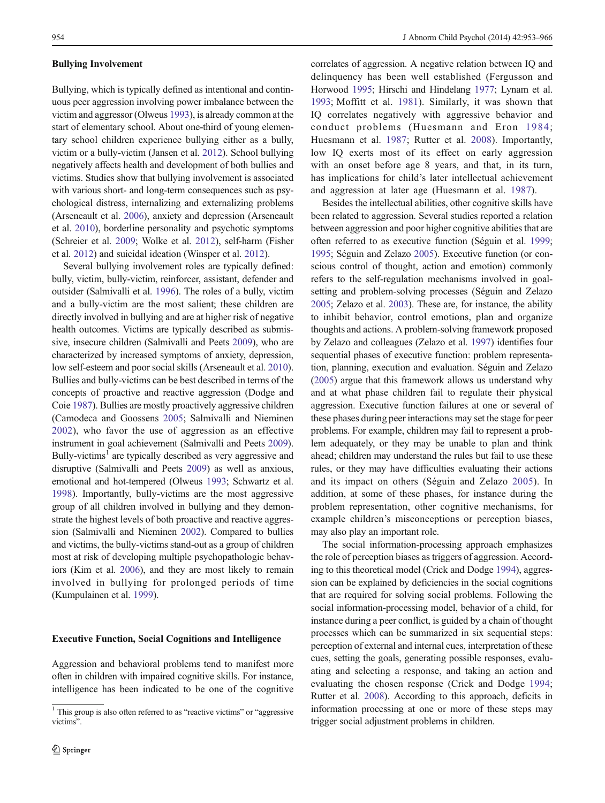#### Bullying Involvement

Bullying, which is typically defined as intentional and continuous peer aggression involving power imbalance between the victim and aggressor (Olweus [1993\)](#page-12-0), is already common at the start of elementary school. About one-third of young elementary school children experience bullying either as a bully, victim or a bully-victim (Jansen et al. [2012\)](#page-12-0). School bullying negatively affects health and development of both bullies and victims. Studies show that bullying involvement is associated with various short- and long-term consequences such as psychological distress, internalizing and externalizing problems (Arseneault et al. [2006\)](#page-11-0), anxiety and depression (Arseneault et al. [2010](#page-11-0)), borderline personality and psychotic symptoms (Schreier et al. [2009](#page-12-0); Wolke et al. [2012\)](#page-13-0), self-harm (Fisher et al. [2012](#page-11-0)) and suicidal ideation (Winsper et al. [2012](#page-13-0)).

Several bullying involvement roles are typically defined: bully, victim, bully-victim, reinforcer, assistant, defender and outsider (Salmivalli et al. [1996\)](#page-12-0). The roles of a bully, victim and a bully-victim are the most salient; these children are directly involved in bullying and are at higher risk of negative health outcomes. Victims are typically described as submissive, insecure children (Salmivalli and Peets [2009](#page-12-0)), who are characterized by increased symptoms of anxiety, depression, low self-esteem and poor social skills (Arseneault et al. [2010\)](#page-11-0). Bullies and bully-victims can be best described in terms of the concepts of proactive and reactive aggression (Dodge and Coie [1987\)](#page-11-0). Bullies are mostly proactively aggressive children (Camodeca and Goossens [2005;](#page-11-0) Salmivalli and Nieminen [2002\)](#page-12-0), who favor the use of aggression as an effective instrument in goal achievement (Salmivalli and Peets [2009\)](#page-12-0). Bully-victims<sup>1</sup> are typically described as very aggressive and disruptive (Salmivalli and Peets [2009\)](#page-12-0) as well as anxious, emotional and hot-tempered (Olweus [1993;](#page-12-0) Schwartz et al. [1998](#page-12-0)). Importantly, bully-victims are the most aggressive group of all children involved in bullying and they demonstrate the highest levels of both proactive and reactive aggression (Salmivalli and Nieminen [2002\)](#page-12-0). Compared to bullies and victims, the bully-victims stand-out as a group of children most at risk of developing multiple psychopathologic behaviors (Kim et al. [2006\)](#page-12-0), and they are most likely to remain involved in bullying for prolonged periods of time (Kumpulainen et al. [1999\)](#page-12-0).

# Executive Function, Social Cognitions and Intelligence

Aggression and behavioral problems tend to manifest more often in children with impaired cognitive skills. For instance, intelligence has been indicated to be one of the cognitive correlates of aggression. A negative relation between IQ and delinquency has been well established (Fergusson and Horwood [1995](#page-11-0); Hirschi and Hindelang [1977;](#page-12-0) Lynam et al. [1993;](#page-12-0) Moffitt et al. [1981](#page-12-0)). Similarly, it was shown that IQ correlates negatively with aggressive behavior and conduct problems (Huesmann and Eron [1984;](#page-12-0) Huesmann et al. [1987](#page-12-0); Rutter et al. [2008](#page-12-0)). Importantly, low IQ exerts most of its effect on early aggression with an onset before age 8 years, and that, in its turn, has implications for child's later intellectual achievement and aggression at later age (Huesmann et al. [1987](#page-12-0)).

Besides the intellectual abilities, other cognitive skills have been related to aggression. Several studies reported a relation between aggression and poor higher cognitive abilities that are often referred to as executive function (Séguin et al. [1999;](#page-12-0) [1995;](#page-12-0) Séguin and Zelazo [2005](#page-12-0)). Executive function (or conscious control of thought, action and emotion) commonly refers to the self-regulation mechanisms involved in goalsetting and problem-solving processes (Séguin and Zelazo [2005;](#page-12-0) Zelazo et al. [2003](#page-13-0)). These are, for instance, the ability to inhibit behavior, control emotions, plan and organize thoughts and actions. A problem-solving framework proposed by Zelazo and colleagues (Zelazo et al. [1997](#page-13-0)) identifies four sequential phases of executive function: problem representation, planning, execution and evaluation. Séguin and Zelazo [\(2005\)](#page-12-0) argue that this framework allows us understand why and at what phase children fail to regulate their physical aggression. Executive function failures at one or several of these phases during peer interactions may set the stage for peer problems. For example, children may fail to represent a problem adequately, or they may be unable to plan and think ahead; children may understand the rules but fail to use these rules, or they may have difficulties evaluating their actions and its impact on others (Séguin and Zelazo [2005](#page-12-0)). In addition, at some of these phases, for instance during the problem representation, other cognitive mechanisms, for example children's misconceptions or perception biases, may also play an important role.

The social information-processing approach emphasizes the role of perception biases as triggers of aggression. According to this theoretical model (Crick and Dodge [1994\)](#page-11-0), aggression can be explained by deficiencies in the social cognitions that are required for solving social problems. Following the social information-processing model, behavior of a child, for instance during a peer conflict, is guided by a chain of thought processes which can be summarized in six sequential steps: perception of external and internal cues, interpretation of these cues, setting the goals, generating possible responses, evaluating and selecting a response, and taking an action and evaluating the chosen response (Crick and Dodge [1994;](#page-11-0) Rutter et al. [2008](#page-12-0)). According to this approach, deficits in information processing at one or more of these steps may trigger social adjustment problems in children.

 $\overline{1}$  This group is also often referred to as "reactive victims" or "aggressive victims".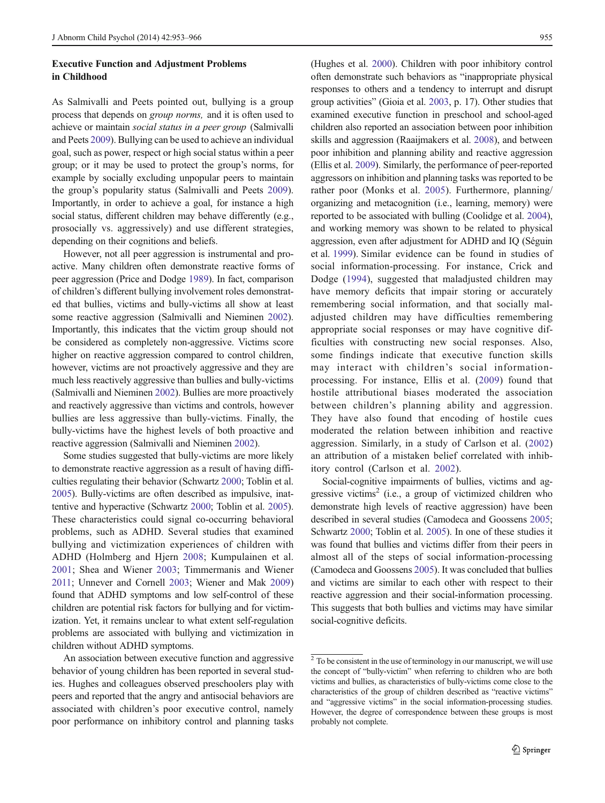# Executive Function and Adjustment Problems in Childhood

As Salmivalli and Peets pointed out, bullying is a group process that depends on group norms, and it is often used to achieve or maintain social status in a peer group (Salmivalli and Peets [2009\)](#page-12-0). Bullying can be used to achieve an individual goal, such as power, respect or high social status within a peer group; or it may be used to protect the group's norms, for example by socially excluding unpopular peers to maintain the group's popularity status (Salmivalli and Peets [2009](#page-12-0)). Importantly, in order to achieve a goal, for instance a high social status, different children may behave differently (e.g., prosocially vs. aggressively) and use different strategies, depending on their cognitions and beliefs.

However, not all peer aggression is instrumental and proactive. Many children often demonstrate reactive forms of peer aggression (Price and Dodge [1989](#page-12-0)). In fact, comparison of children's different bullying involvement roles demonstrated that bullies, victims and bully-victims all show at least some reactive aggression (Salmivalli and Nieminen [2002](#page-12-0)). Importantly, this indicates that the victim group should not be considered as completely non-aggressive. Victims score higher on reactive aggression compared to control children, however, victims are not proactively aggressive and they are much less reactively aggressive than bullies and bully-victims (Salmivalli and Nieminen [2002](#page-12-0)). Bullies are more proactively and reactively aggressive than victims and controls, however bullies are less aggressive than bully-victims. Finally, the bully-victims have the highest levels of both proactive and reactive aggression (Salmivalli and Nieminen [2002](#page-12-0)).

Some studies suggested that bully-victims are more likely to demonstrate reactive aggression as a result of having difficulties regulating their behavior (Schwartz [2000;](#page-12-0) Toblin et al. [2005\)](#page-13-0). Bully-victims are often described as impulsive, inattentive and hyperactive (Schwartz [2000](#page-12-0); Toblin et al. [2005\)](#page-13-0). These characteristics could signal co-occurring behavioral problems, such as ADHD. Several studies that examined bullying and victimization experiences of children with ADHD (Holmberg and Hjern [2008;](#page-12-0) Kumpulainen et al. [2001](#page-12-0); Shea and Wiener [2003](#page-12-0); Timmermanis and Wiener [2011](#page-13-0); Unnever and Cornell [2003](#page-13-0); Wiener and Mak [2009\)](#page-13-0) found that ADHD symptoms and low self-control of these children are potential risk factors for bullying and for victimization. Yet, it remains unclear to what extent self-regulation problems are associated with bullying and victimization in children without ADHD symptoms.

An association between executive function and aggressive behavior of young children has been reported in several studies. Hughes and colleagues observed preschoolers play with peers and reported that the angry and antisocial behaviors are associated with children's poor executive control, namely poor performance on inhibitory control and planning tasks (Hughes et al. [2000\)](#page-12-0). Children with poor inhibitory control often demonstrate such behaviors as "inappropriate physical responses to others and a tendency to interrupt and disrupt group activities" (Gioia et al. [2003,](#page-11-0) p. 17). Other studies that examined executive function in preschool and school-aged children also reported an association between poor inhibition skills and aggression (Raaijmakers et al. [2008](#page-12-0)), and between poor inhibition and planning ability and reactive aggression (Ellis et al. [2009](#page-11-0)). Similarly, the performance of peer-reported aggressors on inhibition and planning tasks was reported to be rather poor (Monks et al. [2005\)](#page-12-0). Furthermore, planning/ organizing and metacognition (i.e., learning, memory) were reported to be associated with bulling (Coolidge et al. [2004\)](#page-11-0), and working memory was shown to be related to physical aggression, even after adjustment for ADHD and IQ (Séguin et al. [1999](#page-12-0)). Similar evidence can be found in studies of social information-processing. For instance, Crick and Dodge ([1994](#page-11-0)), suggested that maladjusted children may have memory deficits that impair storing or accurately remembering social information, and that socially maladjusted children may have difficulties remembering appropriate social responses or may have cognitive difficulties with constructing new social responses. Also, some findings indicate that executive function skills may interact with children's social informationprocessing. For instance, Ellis et al. ([2009\)](#page-11-0) found that hostile attributional biases moderated the association between children's planning ability and aggression. They have also found that encoding of hostile cues moderated the relation between inhibition and reactive aggression. Similarly, in a study of Carlson et al. ([2002](#page-11-0)) an attribution of a mistaken belief correlated with inhibitory control (Carlson et al. [2002\)](#page-11-0).

Social-cognitive impairments of bullies, victims and aggressive victims<sup>2</sup> (i.e., a group of victimized children who demonstrate high levels of reactive aggression) have been described in several studies (Camodeca and Goossens [2005;](#page-11-0) Schwartz [2000](#page-12-0); Toblin et al. [2005\)](#page-13-0). In one of these studies it was found that bullies and victims differ from their peers in almost all of the steps of social information-processing (Camodeca and Goossens [2005](#page-11-0)). It was concluded that bullies and victims are similar to each other with respect to their reactive aggression and their social-information processing. This suggests that both bullies and victims may have similar social-cognitive deficits.

 $2^2$  To be consistent in the use of terminology in our manuscript, we will use the concept of "bully-victim" when referring to children who are both victims and bullies, as characteristics of bully-victims come close to the characteristics of the group of children described as "reactive victims" and "aggressive victims" in the social information-processing studies. However, the degree of correspondence between these groups is most probably not complete.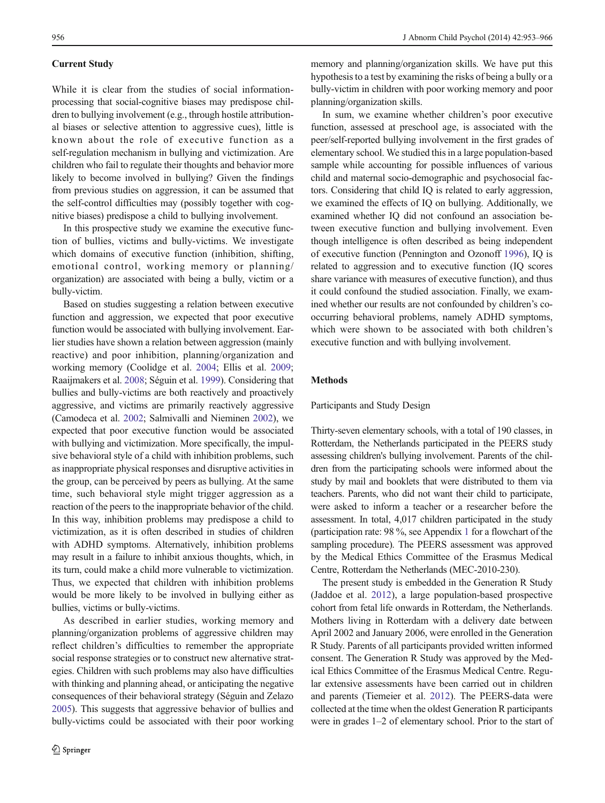## Current Study

While it is clear from the studies of social informationprocessing that social-cognitive biases may predispose children to bullying involvement (e.g., through hostile attributional biases or selective attention to aggressive cues), little is known about the role of executive function as a self-regulation mechanism in bullying and victimization. Are children who fail to regulate their thoughts and behavior more likely to become involved in bullying? Given the findings from previous studies on aggression, it can be assumed that the self-control difficulties may (possibly together with cognitive biases) predispose a child to bullying involvement.

In this prospective study we examine the executive function of bullies, victims and bully-victims. We investigate which domains of executive function (inhibition, shifting, emotional control, working memory or planning/ organization) are associated with being a bully, victim or a bully-victim.

Based on studies suggesting a relation between executive function and aggression, we expected that poor executive function would be associated with bullying involvement. Earlier studies have shown a relation between aggression (mainly reactive) and poor inhibition, planning/organization and working memory (Coolidge et al. [2004;](#page-11-0) Ellis et al. [2009](#page-11-0); Raaijmakers et al. [2008](#page-12-0); Séguin et al. [1999\)](#page-12-0). Considering that bullies and bully-victims are both reactively and proactively aggressive, and victims are primarily reactively aggressive (Camodeca et al. [2002](#page-11-0); Salmivalli and Nieminen [2002\)](#page-12-0), we expected that poor executive function would be associated with bullying and victimization. More specifically, the impulsive behavioral style of a child with inhibition problems, such as inappropriate physical responses and disruptive activities in the group, can be perceived by peers as bullying. At the same time, such behavioral style might trigger aggression as a reaction of the peers to the inappropriate behavior of the child. In this way, inhibition problems may predispose a child to victimization, as it is often described in studies of children with ADHD symptoms. Alternatively, inhibition problems may result in a failure to inhibit anxious thoughts, which, in its turn, could make a child more vulnerable to victimization. Thus, we expected that children with inhibition problems would be more likely to be involved in bullying either as bullies, victims or bully-victims.

As described in earlier studies, working memory and planning/organization problems of aggressive children may reflect children's difficulties to remember the appropriate social response strategies or to construct new alternative strategies. Children with such problems may also have difficulties with thinking and planning ahead, or anticipating the negative consequences of their behavioral strategy (Séguin and Zelazo [2005\)](#page-12-0). This suggests that aggressive behavior of bullies and bully-victims could be associated with their poor working

memory and planning/organization skills. We have put this hypothesis to a test by examining the risks of being a bully or a bully-victim in children with poor working memory and poor planning/organization skills.

In sum, we examine whether children's poor executive function, assessed at preschool age, is associated with the peer/self-reported bullying involvement in the first grades of elementary school. We studied this in a large population-based sample while accounting for possible influences of various child and maternal socio-demographic and psychosocial factors. Considering that child IQ is related to early aggression, we examined the effects of IQ on bullying. Additionally, we examined whether IQ did not confound an association between executive function and bullying involvement. Even though intelligence is often described as being independent of executive function (Pennington and Ozonoff [1996\)](#page-12-0), IQ is related to aggression and to executive function (IQ scores share variance with measures of executive function), and thus it could confound the studied association. Finally, we examined whether our results are not confounded by children's cooccurring behavioral problems, namely ADHD symptoms, which were shown to be associated with both children's executive function and with bullying involvement.

# Methods

## Participants and Study Design

Thirty-seven elementary schools, with a total of 190 classes, in Rotterdam, the Netherlands participated in the PEERS study assessing children's bullying involvement. Parents of the children from the participating schools were informed about the study by mail and booklets that were distributed to them via teachers. Parents, who did not want their child to participate, were asked to inform a teacher or a researcher before the assessment. In total, 4,017 children participated in the study (participation rate: 98 %, see Appendix 1 for a flowchart of the sampling procedure). The PEERS assessment was approved by the Medical Ethics Committee of the Erasmus Medical Centre, Rotterdam the Netherlands (MEC-2010-230).

The present study is embedded in the Generation R Study (Jaddoe et al. [2012\)](#page-12-0), a large population-based prospective cohort from fetal life onwards in Rotterdam, the Netherlands. Mothers living in Rotterdam with a delivery date between April 2002 and January 2006, were enrolled in the Generation R Study. Parents of all participants provided written informed consent. The Generation R Study was approved by the Medical Ethics Committee of the Erasmus Medical Centre. Regular extensive assessments have been carried out in children and parents (Tiemeier et al. [2012](#page-13-0)). The PEERS-data were collected at the time when the oldest Generation R participants were in grades 1–2 of elementary school. Prior to the start of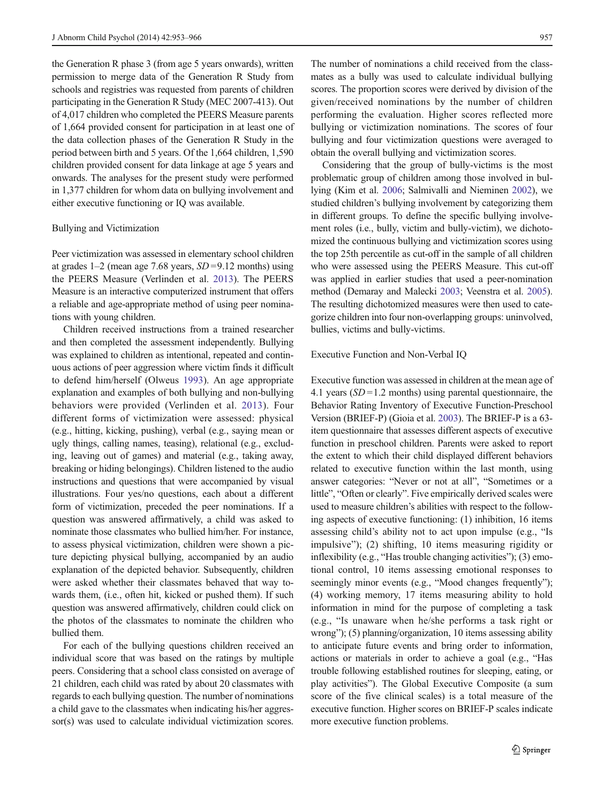the Generation R phase 3 (from age 5 years onwards), written permission to merge data of the Generation R Study from schools and registries was requested from parents of children participating in the Generation R Study (MEC 2007-413). Out of 4,017 children who completed the PEERS Measure parents of 1,664 provided consent for participation in at least one of the data collection phases of the Generation R Study in the period between birth and 5 years. Of the 1,664 children, 1,590 children provided consent for data linkage at age 5 years and onwards. The analyses for the present study were performed in 1,377 children for whom data on bullying involvement and either executive functioning or IQ was available.

## Bullying and Victimization

Peer victimization was assessed in elementary school children at grades  $1-2$  (mean age 7.68 years,  $SD = 9.12$  months) using the PEERS Measure (Verlinden et al. [2013\)](#page-13-0). The PEERS Measure is an interactive computerized instrument that offers a reliable and age-appropriate method of using peer nominations with young children.

Children received instructions from a trained researcher and then completed the assessment independently. Bullying was explained to children as intentional, repeated and continuous actions of peer aggression where victim finds it difficult to defend him/herself (Olweus [1993](#page-12-0)). An age appropriate explanation and examples of both bullying and non-bullying behaviors were provided (Verlinden et al. [2013\)](#page-13-0). Four different forms of victimization were assessed: physical (e.g., hitting, kicking, pushing), verbal (e.g., saying mean or ugly things, calling names, teasing), relational (e.g., excluding, leaving out of games) and material (e.g., taking away, breaking or hiding belongings). Children listened to the audio instructions and questions that were accompanied by visual illustrations. Four yes/no questions, each about a different form of victimization, preceded the peer nominations. If a question was answered affirmatively, a child was asked to nominate those classmates who bullied him/her. For instance, to assess physical victimization, children were shown a picture depicting physical bullying, accompanied by an audio explanation of the depicted behavior. Subsequently, children were asked whether their classmates behaved that way towards them, (i.e., often hit, kicked or pushed them). If such question was answered affirmatively, children could click on the photos of the classmates to nominate the children who bullied them.

For each of the bullying questions children received an individual score that was based on the ratings by multiple peers. Considering that a school class consisted on average of 21 children, each child was rated by about 20 classmates with regards to each bullying question. The number of nominations a child gave to the classmates when indicating his/her aggressor(s) was used to calculate individual victimization scores.

The number of nominations a child received from the classmates as a bully was used to calculate individual bullying scores. The proportion scores were derived by division of the given/received nominations by the number of children performing the evaluation. Higher scores reflected more bullying or victimization nominations. The scores of four bullying and four victimization questions were averaged to obtain the overall bullying and victimization scores.

Considering that the group of bully-victims is the most problematic group of children among those involved in bullying (Kim et al. [2006](#page-12-0); Salmivalli and Nieminen [2002\)](#page-12-0), we studied children's bullying involvement by categorizing them in different groups. To define the specific bullying involvement roles (i.e., bully, victim and bully-victim), we dichotomized the continuous bullying and victimization scores using the top 25th percentile as cut-off in the sample of all children who were assessed using the PEERS Measure. This cut-off was applied in earlier studies that used a peer-nomination method (Demaray and Malecki [2003](#page-11-0); Veenstra et al. [2005\)](#page-13-0). The resulting dichotomized measures were then used to categorize children into four non-overlapping groups: uninvolved, bullies, victims and bully-victims.

### Executive Function and Non-Verbal IQ

Executive function was assessed in children at the mean age of 4.1 years  $(SD=1.2 \text{ months})$  using parental questionnaire, the Behavior Rating Inventory of Executive Function-Preschool Version (BRIEF-P) (Gioia et al. [2003](#page-11-0)). The BRIEF-P is a 63 item questionnaire that assesses different aspects of executive function in preschool children. Parents were asked to report the extent to which their child displayed different behaviors related to executive function within the last month, using answer categories: "Never or not at all", "Sometimes or a little", "Often or clearly". Five empirically derived scales were used to measure children's abilities with respect to the following aspects of executive functioning: (1) inhibition, 16 items assessing child's ability not to act upon impulse (e.g., "Is impulsive"); (2) shifting, 10 items measuring rigidity or inflexibility (e.g., "Has trouble changing activities"); (3) emotional control, 10 items assessing emotional responses to seemingly minor events (e.g., "Mood changes frequently"); (4) working memory, 17 items measuring ability to hold information in mind for the purpose of completing a task (e.g., "Is unaware when he/she performs a task right or wrong"); (5) planning/organization, 10 items assessing ability to anticipate future events and bring order to information, actions or materials in order to achieve a goal (e.g., "Has trouble following established routines for sleeping, eating, or play activities"). The Global Executive Composite (a sum score of the five clinical scales) is a total measure of the executive function. Higher scores on BRIEF-P scales indicate more executive function problems.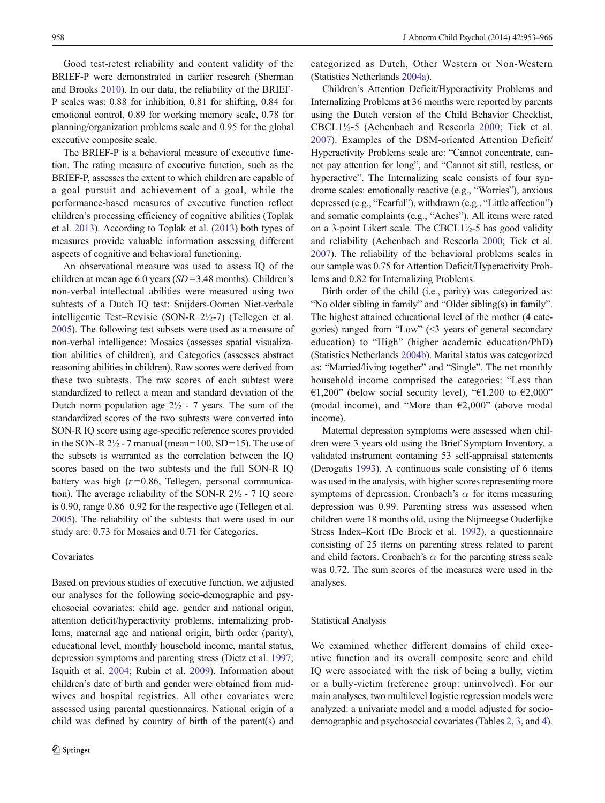Good test-retest reliability and content validity of the BRIEF-P were demonstrated in earlier research (Sherman and Brooks [2010](#page-12-0)). In our data, the reliability of the BRIEF-P scales was: 0.88 for inhibition, 0.81 for shifting, 0.84 for emotional control, 0.89 for working memory scale, 0.78 for planning/organization problems scale and 0.95 for the global executive composite scale.

The BRIEF-P is a behavioral measure of executive function. The rating measure of executive function, such as the BRIEF-P, assesses the extent to which children are capable of a goal pursuit and achievement of a goal, while the performance-based measures of executive function reflect children's processing efficiency of cognitive abilities (Toplak et al. [2013\)](#page-13-0). According to Toplak et al. [\(2013\)](#page-13-0) both types of measures provide valuable information assessing different aspects of cognitive and behavioral functioning.

An observational measure was used to assess IQ of the children at mean age  $6.0$  years ( $SD = 3.48$  months). Children's non-verbal intellectual abilities were measured using two subtests of a Dutch IQ test: Snijders-Oomen Niet-verbale intelligentie Test–Revisie (SON-R 2½-7) (Tellegen et al. [2005\)](#page-13-0). The following test subsets were used as a measure of non-verbal intelligence: Mosaics (assesses spatial visualization abilities of children), and Categories (assesses abstract reasoning abilities in children). Raw scores were derived from these two subtests. The raw scores of each subtest were standardized to reflect a mean and standard deviation of the Dutch norm population age  $2\frac{1}{2}$  - 7 years. The sum of the standardized scores of the two subtests were converted into SON-R IQ score using age-specific reference scores provided in the SON-R  $2\frac{1}{2}$  - 7 manual (mean=100, SD=15). The use of the subsets is warranted as the correlation between the IQ scores based on the two subtests and the full SON-R IQ battery was high  $(r=0.86,$  Tellegen, personal communication). The average reliability of the SON-R 2½ - 7 IQ score is 0.90, range 0.86–0.92 for the respective age (Tellegen et al. [2005\)](#page-13-0). The reliability of the subtests that were used in our study are: 0.73 for Mosaics and 0.71 for Categories.

# Covariates

Based on previous studies of executive function, we adjusted our analyses for the following socio-demographic and psychosocial covariates: child age, gender and national origin, attention deficit/hyperactivity problems, internalizing problems, maternal age and national origin, birth order (parity), educational level, monthly household income, marital status, depression symptoms and parenting stress (Dietz et al. [1997](#page-11-0); Isquith et al. [2004;](#page-12-0) Rubin et al. [2009\)](#page-12-0). Information about children's date of birth and gender were obtained from midwives and hospital registries. All other covariates were assessed using parental questionnaires. National origin of a child was defined by country of birth of the parent(s) and categorized as Dutch, Other Western or Non-Western (Statistics Netherlands [2004a\)](#page-12-0).

Children's Attention Deficit/Hyperactivity Problems and Internalizing Problems at 36 months were reported by parents using the Dutch version of the Child Behavior Checklist, CBCL1½-5 (Achenbach and Rescorla [2000](#page-11-0); Tick et al. [2007](#page-13-0)). Examples of the DSM-oriented Attention Deficit/ Hyperactivity Problems scale are: "Cannot concentrate, cannot pay attention for long", and "Cannot sit still, restless, or hyperactive". The Internalizing scale consists of four syndrome scales: emotionally reactive (e.g., "Worries"), anxious depressed (e.g., "Fearful"), withdrawn (e.g., "Little affection") and somatic complaints (e.g., "Aches"). All items were rated on a 3-point Likert scale. The CBCL1½-5 has good validity and reliability (Achenbach and Rescorla [2000;](#page-11-0) Tick et al. [2007\)](#page-13-0). The reliability of the behavioral problems scales in our sample was 0.75 for Attention Deficit/Hyperactivity Problems and 0.82 for Internalizing Problems.

Birth order of the child (i.e., parity) was categorized as: "No older sibling in family" and "Older sibling(s) in family". The highest attained educational level of the mother (4 categories) ranged from "Low" (<3 years of general secondary education) to "High" (higher academic education/PhD) (Statistics Netherlands [2004b\)](#page-13-0). Marital status was categorized as: "Married/living together" and "Single". The net monthly household income comprised the categories: "Less than €1,200" (below social security level), "€1,200 to €2,000" (modal income), and "More than  $E2,000$ " (above modal income).

Maternal depression symptoms were assessed when children were 3 years old using the Brief Symptom Inventory, a validated instrument containing 53 self-appraisal statements (Derogatis [1993](#page-11-0)). A continuous scale consisting of 6 items was used in the analysis, with higher scores representing more symptoms of depression. Cronbach's  $\alpha$  for items measuring depression was 0.99. Parenting stress was assessed when children were 18 months old, using the Nijmeegse Ouderlijke Stress Index–Kort (De Brock et al. [1992\)](#page-11-0), a questionnaire consisting of 25 items on parenting stress related to parent and child factors. Cronbach's  $\alpha$  for the parenting stress scale was 0.72. The sum scores of the measures were used in the analyses.

#### Statistical Analysis

We examined whether different domains of child executive function and its overall composite score and child IQ were associated with the risk of being a bully, victim or a bully-victim (reference group: uninvolved). For our main analyses, two multilevel logistic regression models were analyzed: a univariate model and a model adjusted for sociodemographic and psychosocial covariates (Tables [2,](#page-8-0) [3](#page-8-0), and [4\)](#page-9-0).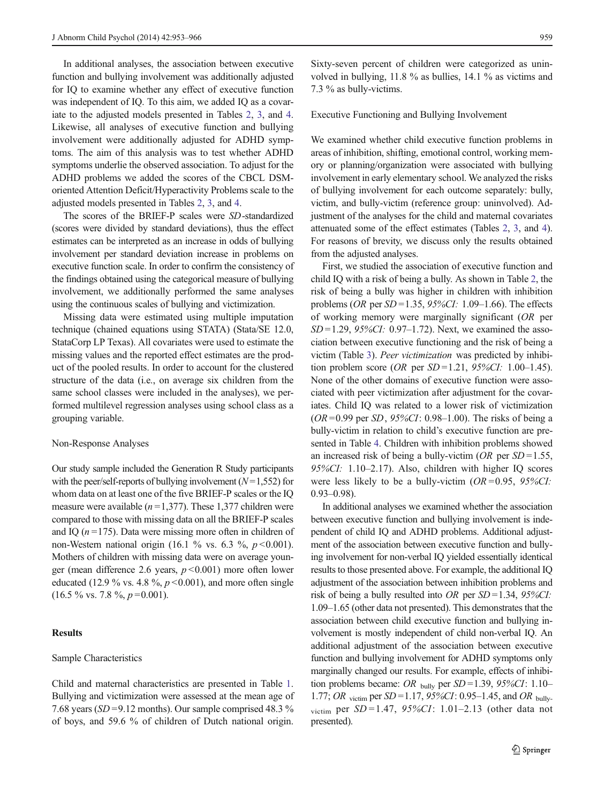In additional analyses, the association between executive function and bullying involvement was additionally adjusted for IQ to examine whether any effect of executive function was independent of IQ. To this aim, we added IQ as a covariate to the adjusted models presented in Tables [2](#page-8-0), [3](#page-8-0), and [4.](#page-9-0) Likewise, all analyses of executive function and bullying involvement were additionally adjusted for ADHD symptoms. The aim of this analysis was to test whether ADHD symptoms underlie the observed association. To adjust for the ADHD problems we added the scores of the CBCL DSMoriented Attention Deficit/Hyperactivity Problems scale to the adjusted models presented in Tables [2](#page-8-0), [3](#page-8-0), and [4.](#page-9-0)

The scores of the BRIEF-P scales were SD-standardized (scores were divided by standard deviations), thus the effect estimates can be interpreted as an increase in odds of bullying involvement per standard deviation increase in problems on executive function scale. In order to confirm the consistency of the findings obtained using the categorical measure of bullying involvement, we additionally performed the same analyses using the continuous scales of bullying and victimization.

Missing data were estimated using multiple imputation technique (chained equations using STATA) (Stata/SE 12.0, StataCorp LP Texas). All covariates were used to estimate the missing values and the reported effect estimates are the product of the pooled results. In order to account for the clustered structure of the data (i.e., on average six children from the same school classes were included in the analyses), we performed multilevel regression analyses using school class as a grouping variable.

## Non-Response Analyses

Our study sample included the Generation R Study participants with the peer/self-reports of bullying involvement  $(N=1,552)$  for whom data on at least one of the five BRIEF-P scales or the IQ measure were available ( $n = 1,377$ ). These 1,377 children were compared to those with missing data on all the BRIEF-P scales and IQ  $(n=175)$ . Data were missing more often in children of non-Western national origin (16.1 % vs. 6.3 %,  $p \le 0.001$ ). Mothers of children with missing data were on average younger (mean difference 2.6 years,  $p < 0.001$ ) more often lower educated (12.9 % vs. 4.8 %,  $p \le 0.001$ ), and more often single  $(16.5 \,\% \text{ vs. } 7.8 \,\% \text{, } p = 0.001).$ 

# **Results**

# Sample Characteristics

Child and maternal characteristics are presented in Table [1.](#page-7-0) Bullying and victimization were assessed at the mean age of 7.68 years ( $SD = 9.12$  months). Our sample comprised 48.3 % of boys, and 59.6 % of children of Dutch national origin.

Sixty-seven percent of children were categorized as uninvolved in bullying, 11.8 % as bullies, 14.1 % as victims and 7.3 % as bully-victims.

# Executive Functioning and Bullying Involvement

We examined whether child executive function problems in areas of inhibition, shifting, emotional control, working memory or planning/organization were associated with bullying involvement in early elementary school. We analyzed the risks of bullying involvement for each outcome separately: bully, victim, and bully-victim (reference group: uninvolved). Adjustment of the analyses for the child and maternal covariates attenuated some of the effect estimates (Tables [2,](#page-8-0) [3,](#page-8-0) and [4\)](#page-9-0). For reasons of brevity, we discuss only the results obtained from the adjusted analyses.

First, we studied the association of executive function and child IQ with a risk of being a bully. As shown in Table [2,](#page-8-0) the risk of being a bully was higher in children with inhibition problems (*OR* per  $SD = 1.35$ , 95%*CI*: 1.09–1.66). The effects of working memory were marginally significant (OR per  $SD = 1.29, 95\% CI: 0.97–1.72$ ). Next, we examined the association between executive functioning and the risk of being a victim (Table [3\)](#page-8-0). Peer victimization was predicted by inhibition problem score (*OR* per  $SD = 1.21$ , 95%*CI*: 1.00–1.45). None of the other domains of executive function were associated with peer victimization after adjustment for the covariates. Child IQ was related to a lower risk of victimization  $(OR = 0.99$  per SD,  $95\% CI: 0.98 - 1.00$ . The risks of being a bully-victim in relation to child's executive function are presented in Table [4](#page-9-0). Children with inhibition problems showed an increased risk of being a bully-victim (*OR* per  $SD = 1.55$ , 95%CI: 1.10–2.17). Also, children with higher IQ scores were less likely to be a bully-victim  $OR = 0.95$ ,  $95\% CI$ : 0.93–0.98).

In additional analyses we examined whether the association between executive function and bullying involvement is independent of child IQ and ADHD problems. Additional adjustment of the association between executive function and bullying involvement for non-verbal IQ yielded essentially identical results to those presented above. For example, the additional IQ adjustment of the association between inhibition problems and risk of being a bully resulted into OR per  $SD = 1.34$ , 95%CI: 1.09–1.65 (other data not presented). This demonstrates that the association between child executive function and bullying involvement is mostly independent of child non-verbal IQ. An additional adjustment of the association between executive function and bullying involvement for ADHD symptoms only marginally changed our results. For example, effects of inhibition problems became: OR bully per  $SD = 1.39$ , 95%CI: 1.10– 1.77; OR victim per  $SD = 1.17$ , 95%CI: 0.95–1.45, and OR bullyvictim per  $SD = 1.47$ , 95%CI: 1.01-2.13 (other data not presented).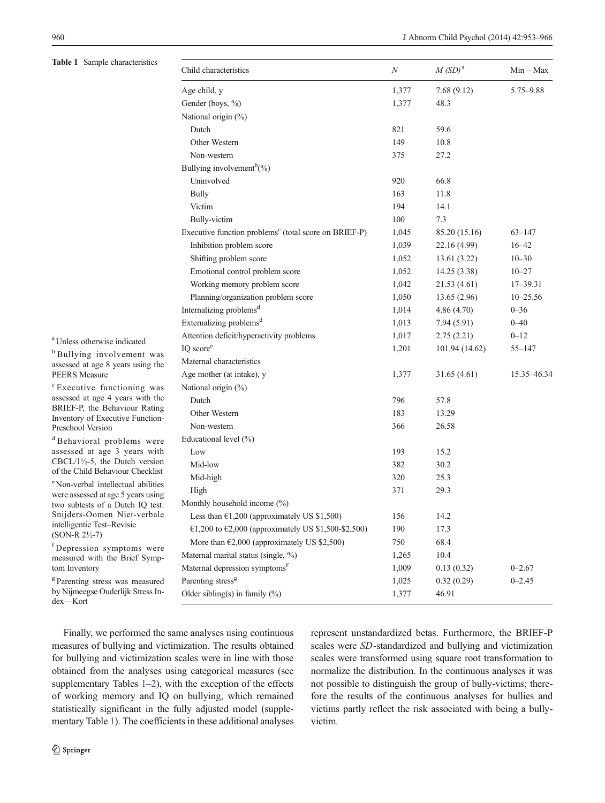<span id="page-7-0"></span>Table 1 Sample characteristics

| Child characteristics                                             | N     | $M(SD)^{a}$    | $Min - Max$  |
|-------------------------------------------------------------------|-------|----------------|--------------|
| Age child, y                                                      | 1,377 | 7.68(9.12)     | 5.75–9.88    |
| Gender (boys, %)                                                  | 1,377 | 48.3           |              |
| National origin (%)                                               |       |                |              |
| Dutch                                                             | 821   | 59.6           |              |
| Other Western                                                     | 149   | 10.8           |              |
| Non-western                                                       | 375   | 27.2           |              |
| Bullying involvement <sup>b</sup> $(\%)$                          |       |                |              |
| Uninvolved                                                        | 920   | 66.8           |              |
| <b>Bully</b>                                                      | 163   | 11.8           |              |
| Victim                                                            | 194   | 14.1           |              |
| Bully-victim                                                      | 100   | 7.3            |              |
| Executive function problems <sup>c</sup> (total score on BRIEF-P) | 1,045 | 85.20 (15.16)  | $63 - 147$   |
| Inhibition problem score                                          | 1,039 | 22.16 (4.99)   | $16 - 42$    |
| Shifting problem score                                            | 1,052 | 13.61(3.22)    | $10 - 30$    |
| Emotional control problem score                                   | 1,052 | 14.25 (3.38)   | $10 - 27$    |
| Working memory problem score                                      | 1,042 | 21.53(4.61)    | 17-39.31     |
| Planning/organization problem score                               | 1,050 | 13.65(2.96)    | $10 - 25.56$ |
| Internalizing problems <sup>d</sup>                               | 1,014 | 4.86(4.70)     | $0 - 36$     |
| Externalizing problems <sup>d</sup>                               | 1,013 | 7.94(5.91)     | $0 - 40$     |
| Attention deficit/hyperactivity problems                          | 1,017 | 2.75(2.21)     | $0 - 12$     |
| IQ score <sup>e</sup>                                             | 1,201 | 101.94 (14.62) | 55-147       |
| Maternal characteristics                                          |       |                |              |
| Age mother (at intake), y                                         | 1,377 | 31.65(4.61)    | 15.35-46.34  |
| National origin (%)                                               |       |                |              |
| Dutch                                                             | 796   | 57.8           |              |
| Other Western                                                     | 183   | 13.29          |              |
| Non-western                                                       | 366   | 26.58          |              |
| Educational level $(\%)$                                          |       |                |              |
| Low                                                               | 193   | 15.2           |              |
| Mid-low                                                           | 382   | 30.2           |              |
| Mid-high                                                          | 320   | 25.3           |              |
| High                                                              | 371   | 29.3           |              |
| Monthly household income (%)                                      |       |                |              |
| Less than $\epsilon$ 1,200 (approximately US \$1,500)             | 156   | 14.2           |              |
| €1,200 to €2,000 (approximately US \$1,500-\$2,500)               | 190   | 17.3           |              |
| More than $\epsilon$ 2,000 (approximately US \$2,500)             | 750   | 68.4           |              |
| Maternal marital status (single, %)                               | 1,265 | 10.4           |              |
| Maternal depression symptoms <sup>f</sup>                         | 1,009 | 0.13(0.32)     | $0 - 2.67$   |
| Parenting stress <sup>g</sup>                                     | 1,025 | 0.32(0.29)     | $0 - 2.45$   |
| Older sibling(s) in family (%)                                    | 1,377 | 46.91          |              |
|                                                                   |       |                |              |

a Unless otherwise indicated b Bullying involvement was assessed at age 8 years using the PEERS Measure <sup>c</sup> Executive functioning was

assessed at age 4 years with the BRIEF-P, the Behaviour Rating Inventory of Executive Function-Preschool Version

<sup>d</sup> Behavioral problems were assessed at age 3 years with CBCL/1½-5, the Dutch version of the Child Behaviour Checklist e Non-verbal intellectual abilities were assessed at age 5 years using two subtests of a Dutch IQ test: Snijders-Oomen Niet-verbale intelligentie Test–Revisie (SON-R 2½-7)

f Depression symptoms were measured with the Brief Symptom Inventory

<sup>g</sup> Parenting stress was measured by Nijmeegse Ouderlijk Stress Index—Kort

Finally, we performed the same analyses using continuous measures of bullying and victimization. The results obtained for bullying and victimization scales were in line with those obtained from the analyses using categorical measures (see supplementary Tables  $1-2$ ), with the exception of the effects of working memory and IQ on bullying, which remained statistically significant in the fully adjusted model (supplementary Table 1). The coefficients in these additional analyses represent unstandardized betas. Furthermore, the BRIEF-P scales were SD-standardized and bullying and victimization scales were transformed using square root transformation to normalize the distribution. In the continuous analyses it was not possible to distinguish the group of bully-victims; therefore the results of the continuous analyses for bullies and victims partly reflect the risk associated with being a bullyvictim.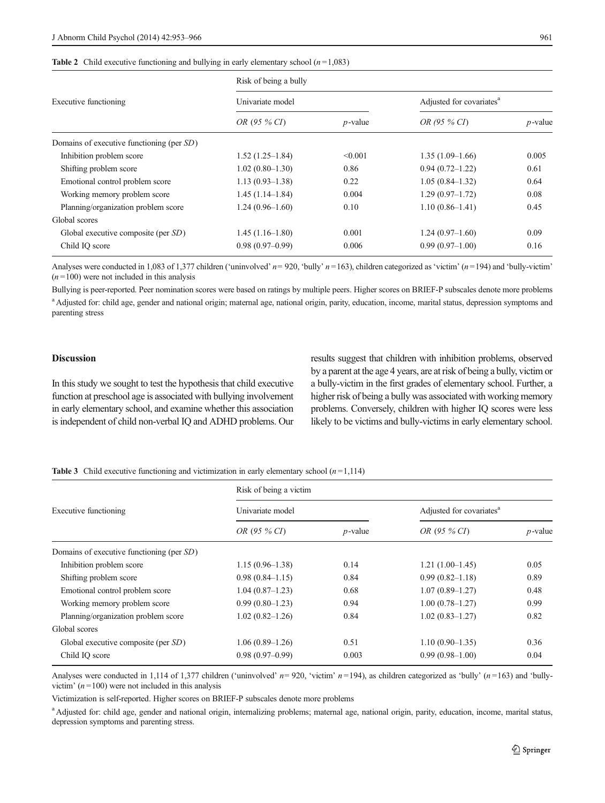## <span id="page-8-0"></span>**Table 2** Child executive functioning and bullying in early elementary school  $(n=1,083)$

|                                           | Risk of being a bully |            |                                      |            |  |  |
|-------------------------------------------|-----------------------|------------|--------------------------------------|------------|--|--|
| Executive functioning                     | Univariate model      |            | Adjusted for covariates <sup>a</sup> |            |  |  |
|                                           | OR (95 % CI)          | $p$ -value | OR (95 % CI)                         | $p$ -value |  |  |
| Domains of executive functioning (per SD) |                       |            |                                      |            |  |  |
| Inhibition problem score                  | $1.52(1.25-1.84)$     | < 0.001    | $1.35(1.09-1.66)$                    | 0.005      |  |  |
| Shifting problem score                    | $1.02(0.80-1.30)$     | 0.86       | $0.94(0.72 - 1.22)$                  | 0.61       |  |  |
| Emotional control problem score           | $1.13(0.93 - 1.38)$   | 0.22       | $1.05(0.84 - 1.32)$                  | 0.64       |  |  |
| Working memory problem score              | $1.45(1.14-1.84)$     | 0.004      | $1.29(0.97-1.72)$                    | 0.08       |  |  |
| Planning/organization problem score       | $1.24(0.96-1.60)$     | 0.10       | $1.10(0.86 - 1.41)$                  | 0.45       |  |  |
| Global scores                             |                       |            |                                      |            |  |  |
| Global executive composite (per $SD$ )    | $1.45(1.16-1.80)$     | 0.001      | $1.24(0.97-1.60)$                    | 0.09       |  |  |
| Child IQ score                            | $0.98(0.97-0.99)$     | 0.006      | $0.99(0.97-1.00)$                    | 0.16       |  |  |

Analyses were conducted in 1,083 of 1,377 children ('uninvolved'  $n = 920$ , 'bully'  $n = 163$ ), children categorized as 'victim' ( $n = 194$ ) and 'bully-victim'  $(n=100)$  were not included in this analysis

Bullying is peer-reported. Peer nomination scores were based on ratings by multiple peers. Higher scores on BRIEF-P subscales denote more problems <sup>a</sup> Adjusted for: child age, gender and national origin; maternal age, national origin, parity, education, income, marital status, depression symptoms and parenting stress

## Discussion

In this study we sought to test the hypothesis that child executive function at preschool age is associated with bullying involvement in early elementary school, and examine whether this association is independent of child non-verbal IQ and ADHD problems. Our results suggest that children with inhibition problems, observed by a parent at the age 4 years, are at risk of being a bully, victim or a bully-victim in the first grades of elementary school. Further, a higher risk of being a bully was associated with working memory problems. Conversely, children with higher IQ scores were less likely to be victims and bully-victims in early elementary school.

#### **Table 3** Child executive functioning and victimization in early elementary school  $(n=1,114)$

|                                           | Risk of being a victim |            |                                      |            |  |  |
|-------------------------------------------|------------------------|------------|--------------------------------------|------------|--|--|
| Executive functioning                     | Univariate model       |            | Adjusted for covariates <sup>a</sup> |            |  |  |
|                                           | <i>OR</i> (95 % CI)    | $p$ -value | OR (95 % CI)                         | $p$ -value |  |  |
| Domains of executive functioning (per SD) |                        |            |                                      |            |  |  |
| Inhibition problem score                  | $1.15(0.96-1.38)$      | 0.14       | $1.21(1.00-1.45)$                    | 0.05       |  |  |
| Shifting problem score                    | $0.98(0.84 - 1.15)$    | 0.84       | $0.99(0.82 - 1.18)$                  | 0.89       |  |  |
| Emotional control problem score           | $1.04(0.87-1.23)$      | 0.68       | $1.07(0.89 - 1.27)$                  | 0.48       |  |  |
| Working memory problem score              | $0.99(0.80-1.23)$      | 0.94       | $1.00(0.78 - 1.27)$                  | 0.99       |  |  |
| Planning/organization problem score       | $1.02(0.82 - 1.26)$    | 0.84       | $1.02(0.83 - 1.27)$                  | 0.82       |  |  |
| Global scores                             |                        |            |                                      |            |  |  |
| Global executive composite (per $SD$ )    | $1.06(0.89-1.26)$      | 0.51       | $1.10(0.90-1.35)$                    | 0.36       |  |  |
| Child IQ score                            | $0.98(0.97-0.99)$      | 0.003      | $0.99(0.98-1.00)$                    | 0.04       |  |  |

Analyses were conducted in 1,114 of 1,377 children ('uninvolved'  $n = 920$ , 'victim'  $n = 194$ ), as children categorized as 'bully' ( $n = 163$ ) and 'bullyvictim'  $(n = 100)$  were not included in this analysis

Victimization is self-reported. Higher scores on BRIEF-P subscales denote more problems

<sup>a</sup> Adjusted for: child age, gender and national origin, internalizing problems; maternal age, national origin, parity, education, income, marital status, depression symptoms and parenting stress.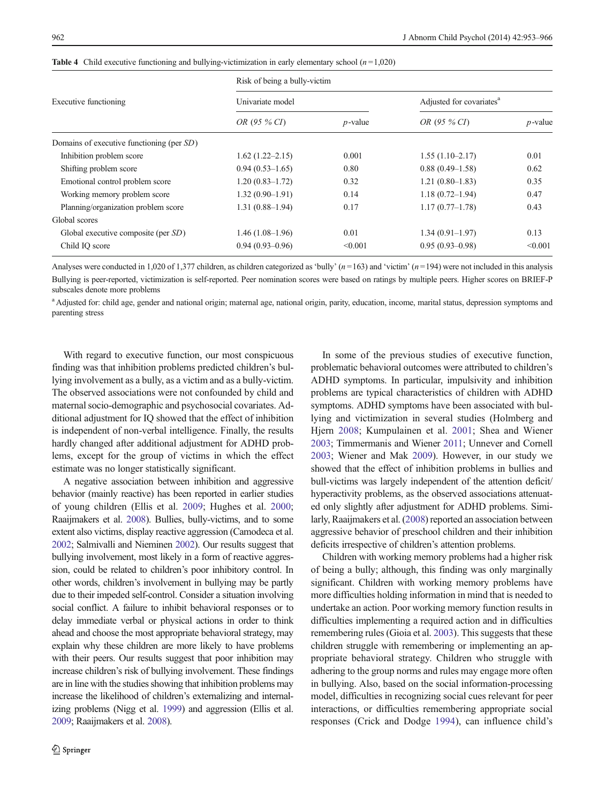<span id="page-9-0"></span>

|  |  |  |  |  | <b>Table 4</b> Child executive functioning and bullying-victimization in early elementary school $(n=1,020)$ |
|--|--|--|--|--|--------------------------------------------------------------------------------------------------------------|
|--|--|--|--|--|--------------------------------------------------------------------------------------------------------------|

|                                           | Risk of being a bully-victim |            |                                      |            |  |
|-------------------------------------------|------------------------------|------------|--------------------------------------|------------|--|
| Executive functioning                     | Univariate model             |            | Adjusted for covariates <sup>a</sup> |            |  |
|                                           | <i>OR</i> (95 % CI)          | $p$ -value | OR (95 % CI)                         | $p$ -value |  |
| Domains of executive functioning (per SD) |                              |            |                                      |            |  |
| Inhibition problem score                  | $1.62(1.22 - 2.15)$          | 0.001      | $1.55(1.10-2.17)$                    | 0.01       |  |
| Shifting problem score                    | $0.94(0.53-1.65)$            | 0.80       | $0.88(0.49-1.58)$                    | 0.62       |  |
| Emotional control problem score           | $1.20(0.83 - 1.72)$          | 0.32       | $1.21(0.80-1.83)$                    | 0.35       |  |
| Working memory problem score              | $1.32(0.90-1.91)$            | 0.14       | $1.18(0.72 - 1.94)$                  | 0.47       |  |
| Planning/organization problem score       | $1.31(0.88 - 1.94)$          | 0.17       | $1.17(0.77-1.78)$                    | 0.43       |  |
| Global scores                             |                              |            |                                      |            |  |
| Global executive composite (per $SD$ )    | $1.46(1.08-1.96)$            | 0.01       | $1.34(0.91-1.97)$                    | 0.13       |  |
| Child IQ score                            | $0.94(0.93 - 0.96)$          | < 0.001    | $0.95(0.93 - 0.98)$                  | < 0.001    |  |

Analyses were conducted in 1,020 of 1,377 children, as children categorized as 'bully'  $(n=163)$  and 'victim'  $(n=194)$  were not included in this analysis Bullying is peer-reported, victimization is self-reported. Peer nomination scores were based on ratings by multiple peers. Higher scores on BRIEF-P subscales denote more problems

<sup>a</sup> Adjusted for: child age, gender and national origin; maternal age, national origin, parity, education, income, marital status, depression symptoms and parenting stress

With regard to executive function, our most conspicuous finding was that inhibition problems predicted children's bullying involvement as a bully, as a victim and as a bully-victim. The observed associations were not confounded by child and maternal socio-demographic and psychosocial covariates. Additional adjustment for IQ showed that the effect of inhibition is independent of non-verbal intelligence. Finally, the results hardly changed after additional adjustment for ADHD problems, except for the group of victims in which the effect estimate was no longer statistically significant.

A negative association between inhibition and aggressive behavior (mainly reactive) has been reported in earlier studies of young children (Ellis et al. [2009;](#page-11-0) Hughes et al. [2000](#page-12-0); Raaijmakers et al. [2008\)](#page-12-0). Bullies, bully-victims, and to some extent also victims, display reactive aggression (Camodeca et al. [2002](#page-11-0); Salmivalli and Nieminen [2002\)](#page-12-0). Our results suggest that bullying involvement, most likely in a form of reactive aggression, could be related to children's poor inhibitory control. In other words, children's involvement in bullying may be partly due to their impeded self-control. Consider a situation involving social conflict. A failure to inhibit behavioral responses or to delay immediate verbal or physical actions in order to think ahead and choose the most appropriate behavioral strategy, may explain why these children are more likely to have problems with their peers. Our results suggest that poor inhibition may increase children's risk of bullying involvement. These findings are in line with the studies showing that inhibition problems may increase the likelihood of children's externalizing and internalizing problems (Nigg et al. [1999\)](#page-12-0) and aggression (Ellis et al. [2009](#page-11-0); Raaijmakers et al. [2008](#page-12-0)).

In some of the previous studies of executive function, problematic behavioral outcomes were attributed to children's ADHD symptoms. In particular, impulsivity and inhibition problems are typical characteristics of children with ADHD symptoms. ADHD symptoms have been associated with bullying and victimization in several studies (Holmberg and Hjern [2008](#page-12-0); Kumpulainen et al. [2001](#page-12-0); Shea and Wiener [2003;](#page-12-0) Timmermanis and Wiener [2011;](#page-13-0) Unnever and Cornell [2003;](#page-13-0) Wiener and Mak [2009\)](#page-13-0). However, in our study we showed that the effect of inhibition problems in bullies and bull-victims was largely independent of the attention deficit/ hyperactivity problems, as the observed associations attenuated only slightly after adjustment for ADHD problems. Similarly, Raaijmakers et al. [\(2008\)](#page-12-0) reported an association between aggressive behavior of preschool children and their inhibition deficits irrespective of children's attention problems.

Children with working memory problems had a higher risk of being a bully; although, this finding was only marginally significant. Children with working memory problems have more difficulties holding information in mind that is needed to undertake an action. Poor working memory function results in difficulties implementing a required action and in difficulties remembering rules (Gioia et al. [2003\)](#page-11-0). This suggests that these children struggle with remembering or implementing an appropriate behavioral strategy. Children who struggle with adhering to the group norms and rules may engage more often in bullying. Also, based on the social information-processing model, difficulties in recognizing social cues relevant for peer interactions, or difficulties remembering appropriate social responses (Crick and Dodge [1994](#page-11-0)), can influence child's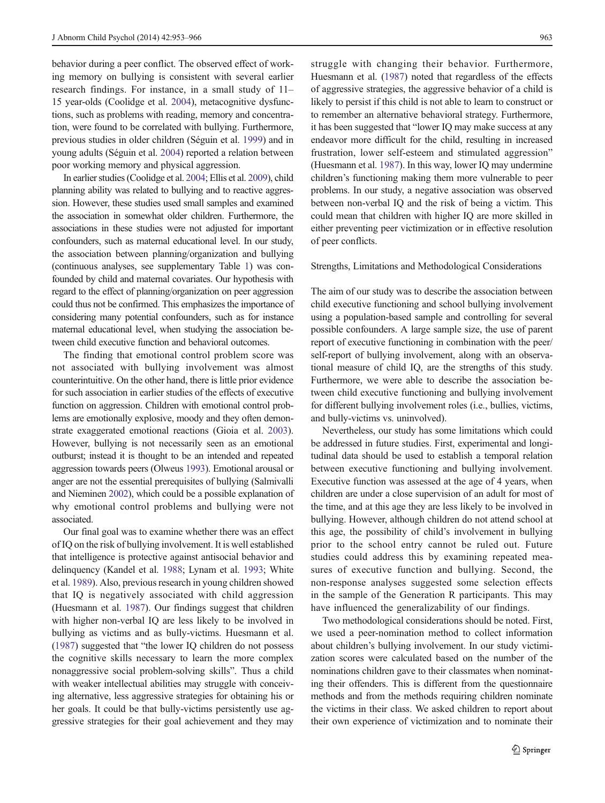behavior during a peer conflict. The observed effect of working memory on bullying is consistent with several earlier research findings. For instance, in a small study of 11– 15 year-olds (Coolidge et al. [2004](#page-11-0)), metacognitive dysfunctions, such as problems with reading, memory and concentration, were found to be correlated with bullying. Furthermore, previous studies in older children (Séguin et al. [1999\)](#page-12-0) and in young adults (Séguin et al. [2004\)](#page-12-0) reported a relation between poor working memory and physical aggression.

In earlier studies (Coolidge et al. [2004](#page-11-0); Ellis et al. [2009](#page-11-0)), child planning ability was related to bullying and to reactive aggression. However, these studies used small samples and examined the association in somewhat older children. Furthermore, the associations in these studies were not adjusted for important confounders, such as maternal educational level. In our study, the association between planning/organization and bullying (continuous analyses, see supplementary Table 1) was confounded by child and maternal covariates. Our hypothesis with regard to the effect of planning/organization on peer aggression could thus not be confirmed. This emphasizes the importance of considering many potential confounders, such as for instance maternal educational level, when studying the association between child executive function and behavioral outcomes.

The finding that emotional control problem score was not associated with bullying involvement was almost counterintuitive. On the other hand, there is little prior evidence for such association in earlier studies of the effects of executive function on aggression. Children with emotional control problems are emotionally explosive, moody and they often demonstrate exaggerated emotional reactions (Gioia et al. [2003](#page-11-0)). However, bullying is not necessarily seen as an emotional outburst; instead it is thought to be an intended and repeated aggression towards peers (Olweus [1993](#page-12-0)). Emotional arousal or anger are not the essential prerequisites of bullying (Salmivalli and Nieminen [2002](#page-12-0)), which could be a possible explanation of why emotional control problems and bullying were not associated.

Our final goal was to examine whether there was an effect of IQ on the risk of bullying involvement. It is well established that intelligence is protective against antisocial behavior and delinquency (Kandel et al. [1988;](#page-12-0) Lynam et al. [1993](#page-12-0); White et al. [1989\)](#page-13-0). Also, previous research in young children showed that IQ is negatively associated with child aggression (Huesmann et al. [1987\)](#page-12-0). Our findings suggest that children with higher non-verbal IQ are less likely to be involved in bullying as victims and as bully-victims. Huesmann et al. [\(1987\)](#page-12-0) suggested that "the lower IQ children do not possess the cognitive skills necessary to learn the more complex nonaggressive social problem-solving skills". Thus a child with weaker intellectual abilities may struggle with conceiving alternative, less aggressive strategies for obtaining his or her goals. It could be that bully-victims persistently use aggressive strategies for their goal achievement and they may struggle with changing their behavior. Furthermore, Huesmann et al. ([1987](#page-12-0)) noted that regardless of the effects of aggressive strategies, the aggressive behavior of a child is likely to persist if this child is not able to learn to construct or to remember an alternative behavioral strategy. Furthermore, it has been suggested that "lower IQ may make success at any endeavor more difficult for the child, resulting in increased frustration, lower self-esteem and stimulated aggression" (Huesmann et al. [1987](#page-12-0)). In this way, lower IQ may undermine children's functioning making them more vulnerable to peer problems. In our study, a negative association was observed between non-verbal IQ and the risk of being a victim. This could mean that children with higher IQ are more skilled in either preventing peer victimization or in effective resolution of peer conflicts.

#### Strengths, Limitations and Methodological Considerations

The aim of our study was to describe the association between child executive functioning and school bullying involvement using a population-based sample and controlling for several possible confounders. A large sample size, the use of parent report of executive functioning in combination with the peer/ self-report of bullying involvement, along with an observational measure of child IQ, are the strengths of this study. Furthermore, we were able to describe the association between child executive functioning and bullying involvement for different bullying involvement roles (i.e., bullies, victims, and bully-victims vs. uninvolved).

Nevertheless, our study has some limitations which could be addressed in future studies. First, experimental and longitudinal data should be used to establish a temporal relation between executive functioning and bullying involvement. Executive function was assessed at the age of 4 years, when children are under a close supervision of an adult for most of the time, and at this age they are less likely to be involved in bullying. However, although children do not attend school at this age, the possibility of child's involvement in bullying prior to the school entry cannot be ruled out. Future studies could address this by examining repeated measures of executive function and bullying. Second, the non-response analyses suggested some selection effects in the sample of the Generation R participants. This may have influenced the generalizability of our findings.

Two methodological considerations should be noted. First, we used a peer-nomination method to collect information about children's bullying involvement. In our study victimization scores were calculated based on the number of the nominations children gave to their classmates when nominating their offenders. This is different from the questionnaire methods and from the methods requiring children nominate the victims in their class. We asked children to report about their own experience of victimization and to nominate their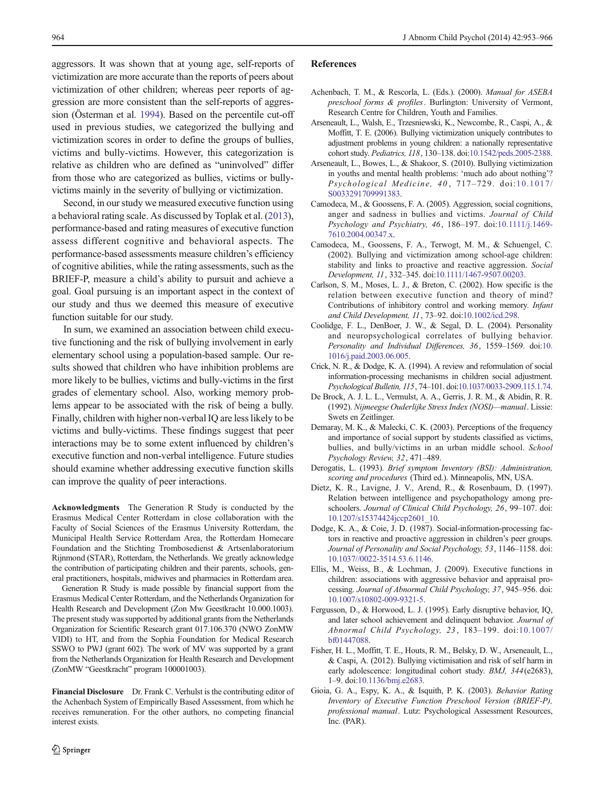aggressors. It was shown that at young age, self-reports of victimization are more accurate than the reports of peers about victimization of other children; whereas peer reports of aggression are more consistent than the self-reports of aggression (Österman et al. [1994](#page-12-0)). Based on the percentile cut-off used in previous studies, we categorized the bullying and victimization scores in order to define the groups of bullies, victims and bully-victims. However, this categorization is relative as children who are defined as "uninvolved" differ from those who are categorized as bullies, victims or bullyvictims mainly in the severity of bullying or victimization.

Second, in our study we measured executive function using a behavioral rating scale. As discussed by Toplak et al. [\(2013\)](#page-13-0), performance-based and rating measures of executive function assess different cognitive and behavioral aspects. The performance-based assessments measure children's efficiency of cognitive abilities, while the rating assessments, such as the BRIEF-P, measure a child's ability to pursuit and achieve a goal. Goal pursuing is an important aspect in the context of our study and thus we deemed this measure of executive function suitable for our study.

In sum, we examined an association between child executive functioning and the risk of bullying involvement in early elementary school using a population-based sample. Our results showed that children who have inhibition problems are more likely to be bullies, victims and bully-victims in the first grades of elementary school. Also, working memory problems appear to be associated with the risk of being a bully. Finally, children with higher non-verbal IQ are less likely to be victims and bully-victims. These findings suggest that peer interactions may be to some extent influenced by children's executive function and non-verbal intelligence. Future studies should examine whether addressing executive function skills can improve the quality of peer interactions.

Acknowledgments The Generation R Study is conducted by the Erasmus Medical Center Rotterdam in close collaboration with the Faculty of Social Sciences of the Erasmus University Rotterdam, the Municipal Health Service Rotterdam Area, the Rotterdam Homecare Foundation and the Stichting Trombosedienst & Artsenlaboratorium Rijnmond (STAR), Rotterdam, the Netherlands. We greatly acknowledge the contribution of participating children and their parents, schools, general practitioners, hospitals, midwives and pharmacies in Rotterdam area.

Generation R Study is made possible by financial support from the Erasmus Medical Center Rotterdam, and the Netherlands Organization for Health Research and Development (Zon Mw Geestkracht 10.000.1003). The present study was supported by additional grants from the Netherlands Organization for Scientific Research grant 017.106.370 (NWO ZonMW VIDI) to HT, and from the Sophia Foundation for Medical Research SSWO to PWJ (grant 602). The work of MV was supported by a grant from the Netherlands Organization for Health Research and Development (ZonMW "Geestkracht" program 100001003).

Financial Disclosure Dr. Frank C. Verhulst is the contributing editor of the Achenbach System of Empirically Based Assessment, from which he receives remuneration. For the other authors, no competing financial interest exists.

# <span id="page-11-0"></span>964 J Abnorm Child Psychol (2014) 42:953–966

# References

- Achenbach, T. M., & Rescorla, L. (Eds.). (2000). Manual for ASEBA preschool forms & profiles. Burlington: University of Vermont, Research Centre for Children, Youth and Families.
- Arseneault, L., Walsh, E., Trzesniewski, K., Newcombe, R., Caspi, A., & Moffitt, T. E. (2006). Bullying victimization uniquely contributes to adjustment problems in young children: a nationally representative cohort study. Pediatrics, 118, 130–138. doi[:10.1542/peds.2005-2388](http://dx.doi.org/10.1542/peds.2005-2388).
- Arseneault, L., Bowes, L., & Shakoor, S. (2010). Bullying victimization in youths and mental health problems: 'much ado about nothing'? Psychological Medicine, 40, 717-729. doi:[10.1017/](http://dx.doi.org/10.1017/S0033291709991383) [S0033291709991383.](http://dx.doi.org/10.1017/S0033291709991383)
- Camodeca, M., & Goossens, F. A. (2005). Aggression, social cognitions, anger and sadness in bullies and victims. Journal of Child Psychology and Psychiatry, 46, 186–197. doi:[10.1111/j.1469-](http://dx.doi.org/10.1111/j.1469-7610.2004.00347.x) [7610.2004.00347.x](http://dx.doi.org/10.1111/j.1469-7610.2004.00347.x).
- Camodeca, M., Goossens, F. A., Terwogt, M. M., & Schuengel, C. (2002). Bullying and victimization among school-age children: stability and links to proactive and reactive aggression. Social Development, 11, 332–345. doi[:10.1111/1467-9507.00203.](http://dx.doi.org/10.1111/1467-9507.00203)
- Carlson, S. M., Moses, L. J., & Breton, C. (2002). How specific is the relation between executive function and theory of mind? Contributions of inhibitory control and working memory. Infant and Child Development, 11, 73–92. doi[:10.1002/icd.298.](http://dx.doi.org/10.1002/icd.298)
- Coolidge, F. L., DenBoer, J. W., & Segal, D. L. (2004). Personality and neuropsychological correlates of bullying behavior. Personality and Individual Differences, 36, 1559–1569. doi[:10.](http://dx.doi.org/10.1016/j.paid.2003.06.005) [1016/j.paid.2003.06.005](http://dx.doi.org/10.1016/j.paid.2003.06.005).
- Crick, N. R., & Dodge, K. A. (1994). A review and reformulation of social information-processing mechanisms in children social adjustment. Psychological Bulletin, 115, 74–101. doi[:10.1037/0033-2909.115.1.74](http://dx.doi.org/10.1037/0033-2909.115.1.74).
- De Brock, A. J. L. L., Vermulst, A. A., Gerris, J. R. M., & Abidin, R. R. (1992). Nijmeegse Ouderlijke Stress Index (NOSI)—manual. Lissie: Swets en Zeitlinger.
- Demaray, M. K., & Malecki, C. K. (2003). Perceptions of the frequency and importance of social support by students classified as victims, bullies, and bully/victims in an urban middle school. School Psychology Review, 32, 471–489.
- Derogatis, L. (1993). Brief symptom Inventory (BSI): Administration, scoring and procedures (Third ed.). Minneapolis, MN, USA.
- Dietz, K. R., Lavigne, J. V., Arend, R., & Rosenbaum, D. (1997). Relation between intelligence and psychopathology among preschoolers. Journal of Clinical Child Psychology, 26, 99–107. doi: [10.1207/s15374424jccp2601\\_10.](http://dx.doi.org/10.1207/s15374424jccp2601_10)
- Dodge, K. A., & Coie, J. D. (1987). Social-information-processing factors in reactive and proactive aggression in children's peer groups. Journal of Personality and Social Psychology, 53, 1146–1158. doi: [10.1037//0022-3514.53.6.1146.](http://dx.doi.org/10.1037//0022-3514.53.6.1146)
- Ellis, M., Weiss, B., & Lochman, J. (2009). Executive functions in children: associations with aggressive behavior and appraisal processing. Journal of Abnormal Child Psychology, 37, 945–956. doi: [10.1007/s10802-009-9321-5.](http://dx.doi.org/10.1007/s10802-009-9321-5)
- Fergusson, D., & Horwood, L. J. (1995). Early disruptive behavior, IQ, and later school achievement and delinquent behavior. Journal of Abnormal Child Psychology, 23 , 183–199. doi:[10.1007/](http://dx.doi.org/10.1007/bf01447088) [bf01447088.](http://dx.doi.org/10.1007/bf01447088)
- Fisher, H. L., Moffitt, T. E., Houts, R. M., Belsky, D. W., Arseneault, L., & Caspi, A. (2012). Bullying victimisation and risk of self harm in early adolescence: longitudinal cohort study. BMJ, 344(e2683), 1–9. doi[:10.1136/bmj.e2683](http://dx.doi.org/10.1136/bmj.e2683).
- Gioia, G. A., Espy, K. A., & Isquith, P. K. (2003). Behavior Rating Inventory of Executive Function Preschool Version (BRIEF-P), professional manual. Lutz: Psychological Assessment Resources, Inc. (PAR).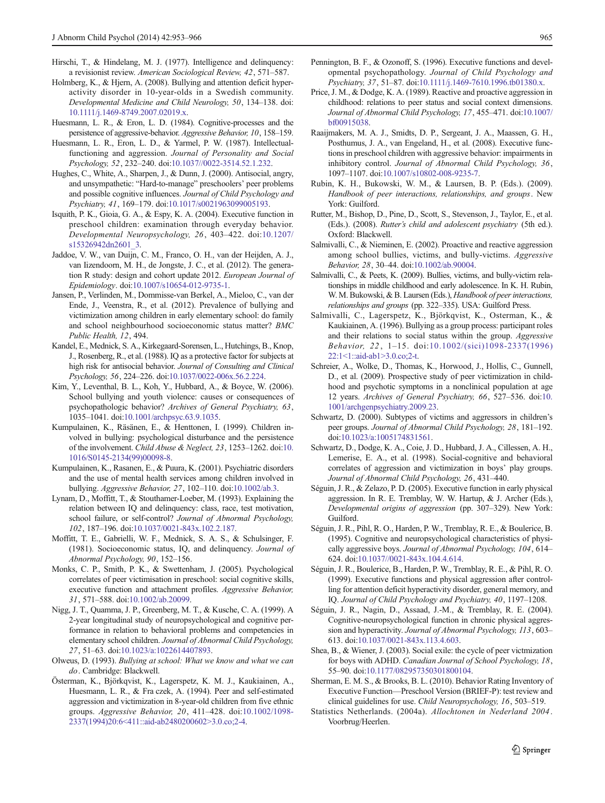- <span id="page-12-0"></span>Hirschi, T., & Hindelang, M. J. (1977). Intelligence and delinquency: a revisionist review. American Sociological Review, 42, 571–587.
- Holmberg, K., & Hjern, A. (2008). Bullying and attention deficit hyperactivity disorder in 10-year-olds in a Swedish community. Developmental Medicine and Child Neurology, 50, 134–138. doi: [10.1111/j.1469-8749.2007.02019.x.](http://dx.doi.org/10.1111/j.1469-8749.2007.02019.x)
- Huesmann, L. R., & Eron, L. D. (1984). Cognitive-processes and the persistence of aggressive-behavior. Aggressive Behavior, 10, 158–159.
- Huesmann, L. R., Eron, L. D., & Yarmel, P. W. (1987). Intellectualfunctioning and aggression. Journal of Personality and Social Psychology, 52, 232–240. doi[:10.1037//0022-3514.52.1.232.](http://dx.doi.org/10.1037//0022-3514.52.1.232)
- Hughes, C., White, A., Sharpen, J., & Dunn, J. (2000). Antisocial, angry, and unsympathetic: "Hard-to-manage" preschoolers' peer problems and possible cognitive influences. Journal of Child Psychology and Psychiatry, 41, 169–179. doi[:10.1017/s0021963099005193](http://dx.doi.org/10.1017/s0021963099005193).
- Isquith, P. K., Gioia, G. A., & Espy, K. A. (2004). Executive function in preschool children: examination through everyday behavior. Developmental Neuropsychology, 26, 403–422. doi:[10.1207/](http://dx.doi.org/10.1207/s15326942dn2601_3) [s15326942dn2601\\_3](http://dx.doi.org/10.1207/s15326942dn2601_3).
- Jaddoe, V. W., van Duijn, C. M., Franco, O. H., van der Heijden, A. J., van Iizendoorn, M. H., de Jongste, J. C., et al. (2012). The generation R study: design and cohort update 2012. European Journal of Epidemiology. doi:[10.1007/s10654-012-9735-1.](http://dx.doi.org/10.1007/s10654-012-9735-1)
- Jansen, P., Verlinden, M., Dommisse-van Berkel, A., Mieloo, C., van der Ende, J., Veenstra, R., et al. (2012). Prevalence of bullying and victimization among children in early elementary school: do family and school neighbourhood socioeconomic status matter? BMC Public Health, 12, 494.
- Kandel, E., Mednick, S. A., Kirkegaard-Sorensen, L., Hutchings, B., Knop, J., Rosenberg, R., et al. (1988). IQ as a protective factor for subjects at high risk for antisocial behavior. Journal of Consulting and Clinical Psychology, 56, 224–226. doi:[10.1037/0022-006x.56.2.224.](http://dx.doi.org/10.1037/0022-006x.56.2.224)
- Kim, Y., Leventhal, B. L., Koh, Y., Hubbard, A., & Boyce, W. (2006). School bullying and youth violence: causes or consequences of psychopathologic behavior? Archives of General Psychiatry, 63, 1035–1041. doi[:10.1001/archpsyc.63.9.1035](http://dx.doi.org/10.1001/archpsyc.63.9.1035).
- Kumpulainen, K., Räsänen, E., & Henttonen, I. (1999). Children involved in bullying: psychological disturbance and the persistence of the involvement. Child Abuse & Neglect, 23, 1253–1262. doi:[10.](http://dx.doi.org/10.1016/S0145-2134(99)00098-8) [1016/S0145-2134\(99\)00098-8.](http://dx.doi.org/10.1016/S0145-2134(99)00098-8)
- Kumpulainen, K., Rasanen, E., & Puura, K. (2001). Psychiatric disorders and the use of mental health services among children involved in bullying. Aggressive Behavior, 27, 102–110. doi:[10.1002/ab.3.](http://dx.doi.org/10.1002/ab.3)
- Lynam, D., Moffitt, T., & Stouthamer-Loeber, M. (1993). Explaining the relation between IQ and delinquency: class, race, test motivation, school failure, or self-control? Journal of Abnormal Psychology, 102, 187–196. doi[:10.1037/0021-843x.102.2.187](http://dx.doi.org/10.1037/0021-843x.102.2.187).
- Moffitt, T. E., Gabrielli, W. F., Mednick, S. A. S., & Schulsinger, F. (1981). Socioeconomic status, IQ, and delinquency. Journal of Abnormal Psychology, 90, 152–156.
- Monks, C. P., Smith, P. K., & Swettenham, J. (2005). Psychological correlates of peer victimisation in preschool: social cognitive skills, executive function and attachment profiles. Aggressive Behavior, 31, 571–588. doi[:10.1002/ab.20099.](http://dx.doi.org/10.1002/ab.20099)
- Nigg, J. T., Quamma, J. P., Greenberg, M. T., & Kusche, C. A. (1999). A 2-year longitudinal study of neuropsychological and cognitive performance in relation to behavioral problems and competencies in elementary school children. Journal of Abnormal Child Psychology, 27, 51–63. doi[:10.1023/a:1022614407893.](http://dx.doi.org/10.1023/a:1022614407893)
- Olweus, D. (1993). Bullying at school: What we know and what we can do. Cambridge: Blackwell.
- Österman, K., Björkqvist, K., Lagerspetz, K. M. J., Kaukiainen, A., Huesmann, L. R., & Fra czek, A. (1994). Peer and self-estimated aggression and victimization in 8-year-old children from five ethnic groups. Aggressive Behavior, 20, 411–428. doi:[10.1002/1098-](http://dx.doi.org/10.1002/1098-2337(1994)20:6%3C411::aid-ab2480200602%3E3.0.co;2-4) [2337\(1994\)20:6<411::aid-ab2480200602>3.0.co;2-4.](http://dx.doi.org/10.1002/1098-2337(1994)20:6%3C411::aid-ab2480200602%3E3.0.co;2-4)
- Pennington, B. F., & Ozonoff, S. (1996). Executive functions and developmental psychopathology. Journal of Child Psychology and Psychiatry, 37, 51–87. doi:[10.1111/j.1469-7610.1996.tb01380.x.](http://dx.doi.org/10.1111/j.1469-7610.1996.tb01380.x)
- Price, J. M., & Dodge, K. A. (1989). Reactive and proactive aggression in childhood: relations to peer status and social context dimensions. Journal of Abnormal Child Psychology, 17, 455–471. doi[:10.1007/](http://dx.doi.org/10.1007/bf00915038) [bf00915038.](http://dx.doi.org/10.1007/bf00915038)
- Raaijmakers, M. A. J., Smidts, D. P., Sergeant, J. A., Maassen, G. H., Posthumus, J. A., van Engeland, H., et al. (2008). Executive functions in preschool children with aggressive behavior: impairments in inhibitory control. Journal of Abnormal Child Psychology, 36, 1097–1107. doi[:10.1007/s10802-008-9235-7.](http://dx.doi.org/10.1007/s10802-008-9235-7)
- Rubin, K. H., Bukowski, W. M., & Laursen, B. P. (Eds.). (2009). Handbook of peer interactions, relationships, and groups. New York: Guilford.
- Rutter, M., Bishop, D., Pine, D., Scott, S., Stevenson, J., Taylor, E., et al. (Eds.). (2008). Rutter's child and adolescent psychiatry (5th ed.). Oxford: Blackwell.
- Salmivalli, C., & Nieminen, E. (2002). Proactive and reactive aggression among school bullies, victims, and bully-victims. Aggressive Behavior, 28, 30–44. doi:[10.1002/ab.90004.](http://dx.doi.org/10.1002/ab.90004)
- Salmivalli, C., & Peets, K. (2009). Bullies, victims, and bully-victim relationships in middle childhood and early adolescence. In K. H. Rubin, W. M. Bukowski, & B. Laursen (Eds.), Handbook of peer interactions, relationships and groups (pp. 322–335). USA: Guilford Press.
- Salmivalli, C., Lagerspetz, K., Björkqvist, K., Osterman, K., & Kaukiainen, A. (1996). Bullying as a group process: participant roles and their relations to social status within the group. Aggressive Behavior, 22 , 1–15. doi:[10.1002/\(sici\)1098-2337\(1996\)](http://dx.doi.org/10.1002/(sici)1098-2337(1996)22:1%3C1::aid-ab1%3E3.0.co;2-t) [22:1<1::aid-ab1>3.0.co;2-t.](http://dx.doi.org/10.1002/(sici)1098-2337(1996)22:1%3C1::aid-ab1%3E3.0.co;2-t)
- Schreier, A., Wolke, D., Thomas, K., Horwood, J., Hollis, C., Gunnell, D., et al. (2009). Prospective study of peer victimization in childhood and psychotic symptoms in a nonclinical population at age 12 years. Archives of General Psychiatry, 66, 527–536. doi:[10.](http://dx.doi.org/10.1001/archgenpsychiatry.2009.23) [1001/archgenpsychiatry.2009.23.](http://dx.doi.org/10.1001/archgenpsychiatry.2009.23)
- Schwartz, D. (2000). Subtypes of victims and aggressors in children's peer groups. Journal of Abnormal Child Psychology, 28, 181–192. doi:[10.1023/a:1005174831561](http://dx.doi.org/10.1023/a:1005174831561).
- Schwartz, D., Dodge, K. A., Coie, J. D., Hubbard, J. A., Cillessen, A. H., Lemerise, E. A., et al. (1998). Social-cognitive and behavioral correlates of aggression and victimization in boys' play groups. Journal of Abnormal Child Psychology, 26, 431–440.
- Séguin, J. R., & Zelazo, P. D. (2005). Executive function in early physical aggression. In R. E. Tremblay, W. W. Hartup, & J. Archer (Eds.), Developmental origins of aggression (pp. 307–329). New York: Guilford.
- Séguin, J. R., Pihl, R. O., Harden, P. W., Tremblay, R. E., & Boulerice, B. (1995). Cognitive and neuropsychological characteristics of physically aggressive boys. Journal of Abnormal Psychology, 104, 614– 624. doi[:10.1037//0021-843x.104.4.614](http://dx.doi.org/10.1037//0021-843x.104.4.614).
- Séguin, J. R., Boulerice, B., Harden, P. W., Tremblay, R. E., & Pihl, R. O. (1999). Executive functions and physical aggression after controlling for attention deficit hyperactivity disorder, general memory, and IQ. Journal of Child Psychology and Psychiatry, 40, 1197–1208.
- Séguin, J. R., Nagin, D., Assaad, J.-M., & Tremblay, R. E. (2004). Cognitive-neuropsychological function in chronic physical aggression and hyperactivity. Journal of Abnormal Psychology, 113, 603– 613. doi[:10.1037/0021-843x.113.4.603.](http://dx.doi.org/10.1037/0021-843x.113.4.603)
- Shea, B., & Wiener, J. (2003). Social exile: the cycle of peer victmization for boys with ADHD. Canadian Journal of School Psychology, 18, 55–90. doi:[10.1177/082957350301800104.](http://dx.doi.org/10.1177/082957350301800104)
- Sherman, E. M. S., & Brooks, B. L. (2010). Behavior Rating Inventory of Executive Function—Preschool Version (BRIEF-P): test review and clinical guidelines for use. Child Neuropsychology, 16, 503–519.
- Statistics Netherlands. (2004a). Allochtonen in Nederland 2004. Voorbrug/Heerlen.